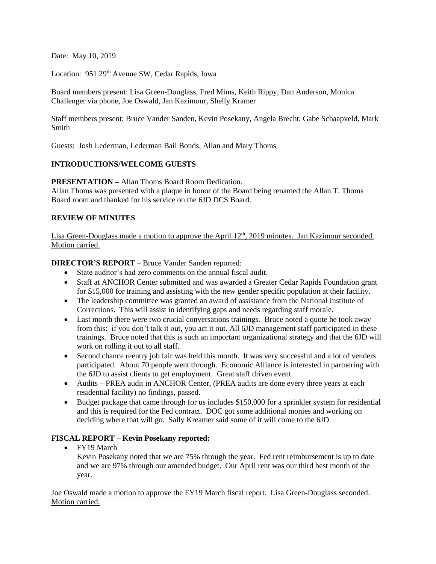Date: May 10, 2019

Location: 951 29<sup>th</sup> Avenue SW, Cedar Rapids, Iowa

Board members present: Lisa Green-Douglass, Fred Mims, Keith Rippy, Dan Anderson, Monica Challenger via phone, Joe Oswald, Jan Kazimour, Shelly Kramer

Staff members present: Bruce Vander Sanden, Kevin Posekany, Angela Brecht, Gabe Schaapveld, Mark Smith

Guests: Josh Lederman, Lederman Bail Bonds, Allan and Mary Thoms

## **INTRODUCTIONS/WELCOME GUESTS**

**PRESENTATION –** Allan Thoms Board Room Dedication.

Allan Thoms was presented with a plaque in honor of the Board being renamed the Allan T. Thoms Board room and thanked for his service on the 6JD DCS Board.

## **REVIEW OF MINUTES**

Lisa Green-Douglass made a motion to approve the April 12<sup>th</sup>, 2019 minutes. Jan Kazimour seconded. Motion carried.

## **DIRECTOR'S REPORT** – Bruce Vander Sanden reported:

- State auditor's had zero comments on the annual fiscal audit.
- Staff at ANCHOR Center submitted and was awarded a Greater Cedar Rapids Foundation grant for \$15,000 for training and assisting with the new gender specific population at their facility.
- The leadership committee was granted an award of assistance from the National Institute of Corrections. This will assist in identifying gaps and needs regarding staff morale.
- Last month there were two crucial conversations trainings. Bruce noted a quote he took away from this: if you don't talk it out, you act it out. All 6JD management staff participated in these trainings. Bruce noted that this is such an important organizational strategy and that the 6JD will work on rolling it out to all staff.
- Second chance reentry job fair was held this month. It was very successful and a lot of venders participated. About 70 people went through. Economic Alliance is interested in partnering with the 6JD to assist clients to get employment. Great staff driven event.
- Audits PREA audit in ANCHOR Center, (PREA audits are done every three years at each residential facility) no findings, passed.
- Budget package that came through for us includes \$150,000 for a sprinkler system for residential and this is required for the Fed contract. DOC got some additional monies and working on deciding where that will go. Sally Kreamer said some of it will come to the 6JD.

# **FISCAL REPORT – Kevin Posekany reported:**

• FY19 March

Kevin Posekany noted that we are 75% through the year. Fed rent reimbursement is up to date and we are 97% through our amended budget. Our April rent was our third best month of the year.

## Joe Oswald made a motion to approve the FY19 March fiscal report. Lisa Green-Douglass seconded. Motion carried.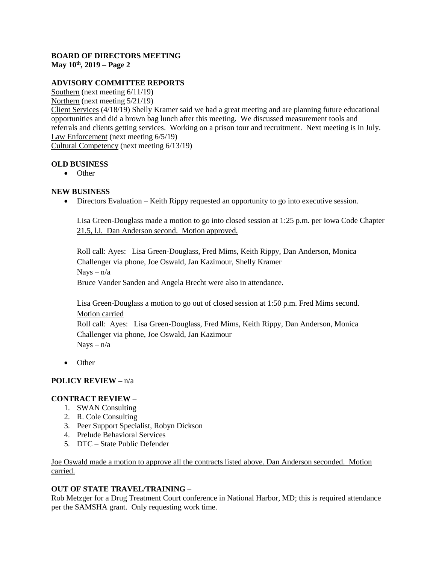#### **BOARD OF DIRECTORS MEETING May 10th, 2019 – Page 2**

# **ADVISORY COMMITTEE REPORTS**

Southern (next meeting 6/11/19) Northern (next meeting 5/21/19) Client Services (4/18/19) Shelly Kramer said we had a great meeting and are planning future educational opportunities and did a brown bag lunch after this meeting. We discussed measurement tools and referrals and clients getting services. Working on a prison tour and recruitment. Next meeting is in July. Law Enforcement (next meeting 6/5/19) Cultural Competency (next meeting 6/13/19)

**OLD BUSINESS**

• Other

### **NEW BUSINESS**

Directors Evaluation – Keith Rippy requested an opportunity to go into executive session.

Lisa Green-Douglass made a motion to go into closed session at 1:25 p.m. per Iowa Code Chapter 21.5, l.i. Dan Anderson second. Motion approved.

Roll call: Ayes: Lisa Green-Douglass, Fred Mims, Keith Rippy, Dan Anderson, Monica Challenger via phone, Joe Oswald, Jan Kazimour, Shelly Kramer  $Nays - n/a$ Bruce Vander Sanden and Angela Brecht were also in attendance.

Lisa Green-Douglass a motion to go out of closed session at 1:50 p.m. Fred Mims second. Motion carried Roll call: Ayes: Lisa Green-Douglass, Fred Mims, Keith Rippy, Dan Anderson, Monica Challenger via phone, Joe Oswald, Jan Kazimour Nays – n/a

• Other

## **POLICY REVIEW –** n/a

## **CONTRACT REVIEW** –

- 1. SWAN Consulting
- 2. R. Cole Consulting
- 3. Peer Support Specialist, Robyn Dickson
- 4. Prelude Behavioral Services
- 5. DTC State Public Defender

Joe Oswald made a motion to approve all the contracts listed above. Dan Anderson seconded. Motion carried.

### **OUT OF STATE TRAVEL/TRAINING** –

Rob Metzger for a Drug Treatment Court conference in National Harbor, MD; this is required attendance per the SAMSHA grant. Only requesting work time.